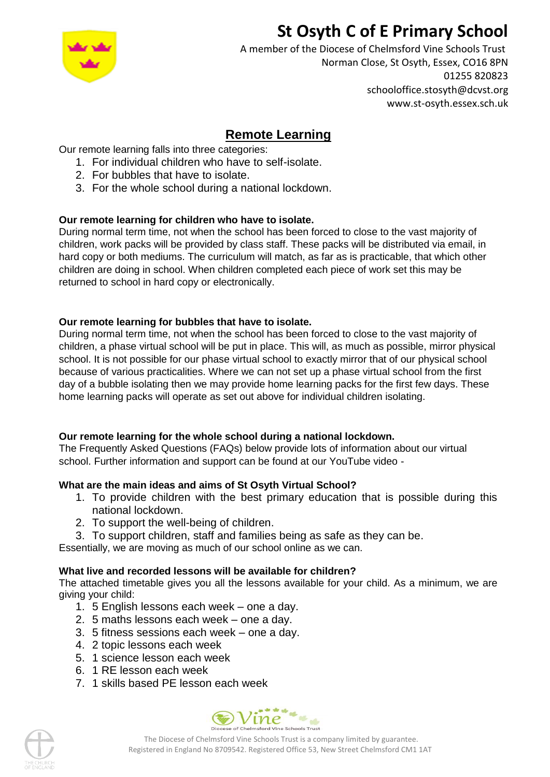# **St Osyth C of E Primary School**



A member of the Diocese of Chelmsford Vine Schools Trust Norman Close, St Osyth, Essex, CO16 8PN 01255 820823 schooloffice.stosyth@dcvst.org www.st-osyth.essex.sch.uk

# **Remote Learning**

Our remote learning falls into three categories:

- 1. For individual children who have to self-isolate.
- 2. For bubbles that have to isolate.
- 3. For the whole school during a national lockdown.

# **Our remote learning for children who have to isolate.**

During normal term time, not when the school has been forced to close to the vast majority of children, work packs will be provided by class staff. These packs will be distributed via email, in hard copy or both mediums. The curriculum will match, as far as is practicable, that which other children are doing in school. When children completed each piece of work set this may be returned to school in hard copy or electronically.

# **Our remote learning for bubbles that have to isolate.**

During normal term time, not when the school has been forced to close to the vast majority of children, a phase virtual school will be put in place. This will, as much as possible, mirror physical school. It is not possible for our phase virtual school to exactly mirror that of our physical school because of various practicalities. Where we can not set up a phase virtual school from the first day of a bubble isolating then we may provide home learning packs for the first few days. These home learning packs will operate as set out above for individual children isolating.

# **Our remote learning for the whole school during a national lockdown.**

The Frequently Asked Questions (FAQs) below provide lots of information about our virtual school. Further information and support can be found at our YouTube video -

# **What are the main ideas and aims of St Osyth Virtual School?**

- 1. To provide children with the best primary education that is possible during this national lockdown.
- 2. To support the well-being of children.
- 3. To support children, staff and families being as safe as they can be.

Essentially, we are moving as much of our school online as we can.

# **What live and recorded lessons will be available for children?**

The attached timetable gives you all the lessons available for your child. As a minimum, we are giving your child:

- 1. 5 English lessons each week one a day.
- 2. 5 maths lessons each week one a day.
- 3. 5 fitness sessions each week one a day.
- 4. 2 topic lessons each week
- 5. 1 science lesson each week
- 6. 1 RE lesson each week
- 7. 1 skills based PE lesson each week





The Diocese of Chelmsford Vine Schools Trust is a company limited by guarantee. Registered in England No 8709542. Registered Office 53, New Street Chelmsford CM1 1AT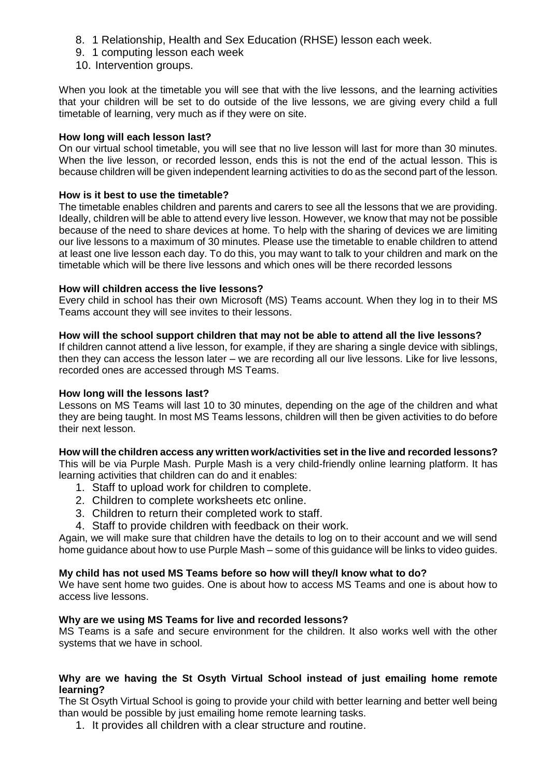- 8. 1 Relationship, Health and Sex Education (RHSE) lesson each week.
- 9. 1 computing lesson each week
- 10. Intervention groups.

When you look at the timetable you will see that with the live lessons, and the learning activities that your children will be set to do outside of the live lessons, we are giving every child a full timetable of learning, very much as if they were on site.

#### **How long will each lesson last?**

On our virtual school timetable, you will see that no live lesson will last for more than 30 minutes. When the live lesson, or recorded lesson, ends this is not the end of the actual lesson. This is because children will be given independent learning activities to do as the second part of the lesson.

#### **How is it best to use the timetable?**

The timetable enables children and parents and carers to see all the lessons that we are providing. Ideally, children will be able to attend every live lesson. However, we know that may not be possible because of the need to share devices at home. To help with the sharing of devices we are limiting our live lessons to a maximum of 30 minutes. Please use the timetable to enable children to attend at least one live lesson each day. To do this, you may want to talk to your children and mark on the timetable which will be there live lessons and which ones will be there recorded lessons

#### **How will children access the live lessons?**

Every child in school has their own Microsoft (MS) Teams account. When they log in to their MS Teams account they will see invites to their lessons.

#### **How will the school support children that may not be able to attend all the live lessons?**

If children cannot attend a live lesson, for example, if they are sharing a single device with siblings, then they can access the lesson later – we are recording all our live lessons. Like for live lessons, recorded ones are accessed through MS Teams.

#### **How long will the lessons last?**

Lessons on MS Teams will last 10 to 30 minutes, depending on the age of the children and what they are being taught. In most MS Teams lessons, children will then be given activities to do before their next lesson.

#### **How will the children access any written work/activities set in the live and recorded lessons?**

This will be via Purple Mash. Purple Mash is a very child-friendly online learning platform. It has learning activities that children can do and it enables:

- 1. Staff to upload work for children to complete.
- 2. Children to complete worksheets etc online.
- 3. Children to return their completed work to staff.
- 4. Staff to provide children with feedback on their work.

Again, we will make sure that children have the details to log on to their account and we will send home guidance about how to use Purple Mash – some of this guidance will be links to video guides.

#### **My child has not used MS Teams before so how will they/I know what to do?**

We have sent home two guides. One is about how to access MS Teams and one is about how to access live lessons.

#### **Why are we using MS Teams for live and recorded lessons?**

MS Teams is a safe and secure environment for the children. It also works well with the other systems that we have in school.

#### **Why are we having the St Osyth Virtual School instead of just emailing home remote learning?**

The St Osyth Virtual School is going to provide your child with better learning and better well being than would be possible by just emailing home remote learning tasks.

1. It provides all children with a clear structure and routine.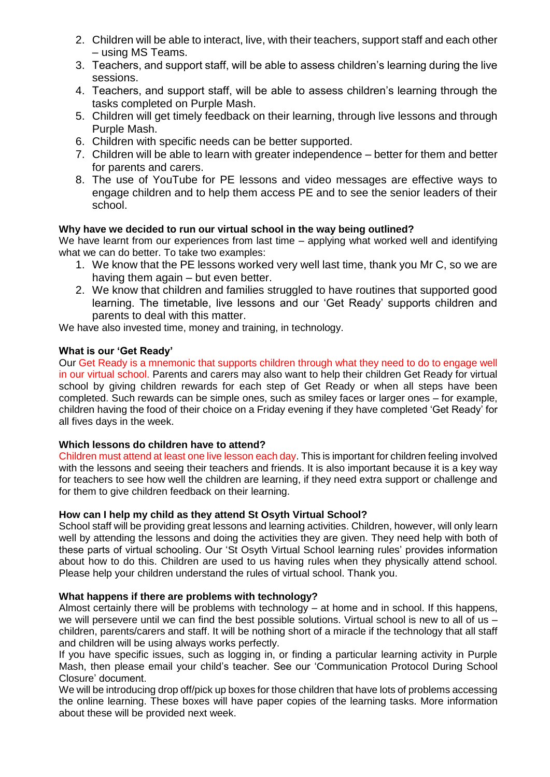- 2. Children will be able to interact, live, with their teachers, support staff and each other – using MS Teams.
- 3. Teachers, and support staff, will be able to assess children's learning during the live sessions.
- 4. Teachers, and support staff, will be able to assess children's learning through the tasks completed on Purple Mash.
- 5. Children will get timely feedback on their learning, through live lessons and through Purple Mash.
- 6. Children with specific needs can be better supported.
- 7. Children will be able to learn with greater independence better for them and better for parents and carers.
- 8. The use of YouTube for PE lessons and video messages are effective ways to engage children and to help them access PE and to see the senior leaders of their school.

# **Why have we decided to run our virtual school in the way being outlined?**

We have learnt from our experiences from last time – applying what worked well and identifying what we can do better. To take two examples:

- 1. We know that the PE lessons worked very well last time, thank you Mr C, so we are having them again – but even better.
- 2. We know that children and families struggled to have routines that supported good learning. The timetable, live lessons and our 'Get Ready' supports children and parents to deal with this matter.

We have also invested time, money and training, in technology.

# **What is our 'Get Ready'**

Our Get Ready is a mnemonic that supports children through what they need to do to engage well in our virtual school. Parents and carers may also want to help their children Get Ready for virtual school by giving children rewards for each step of Get Ready or when all steps have been completed. Such rewards can be simple ones, such as smiley faces or larger ones – for example, children having the food of their choice on a Friday evening if they have completed 'Get Ready' for all fives days in the week.

# **Which lessons do children have to attend?**

Children must attend at least one live lesson each day. This is important for children feeling involved with the lessons and seeing their teachers and friends. It is also important because it is a key way for teachers to see how well the children are learning, if they need extra support or challenge and for them to give children feedback on their learning.

#### **How can I help my child as they attend St Osyth Virtual School?**

School staff will be providing great lessons and learning activities. Children, however, will only learn well by attending the lessons and doing the activities they are given. They need help with both of these parts of virtual schooling. Our 'St Osyth Virtual School learning rules' provides information about how to do this. Children are used to us having rules when they physically attend school. Please help your children understand the rules of virtual school. Thank you.

# **What happens if there are problems with technology?**

Almost certainly there will be problems with technology – at home and in school. If this happens, we will persevere until we can find the best possible solutions. Virtual school is new to all of us children, parents/carers and staff. It will be nothing short of a miracle if the technology that all staff and children will be using always works perfectly.

If you have specific issues, such as logging in, or finding a particular learning activity in Purple Mash, then please email your child's teacher. See our 'Communication Protocol During School Closure' document.

We will be introducing drop off/pick up boxes for those children that have lots of problems accessing the online learning. These boxes will have paper copies of the learning tasks. More information about these will be provided next week.